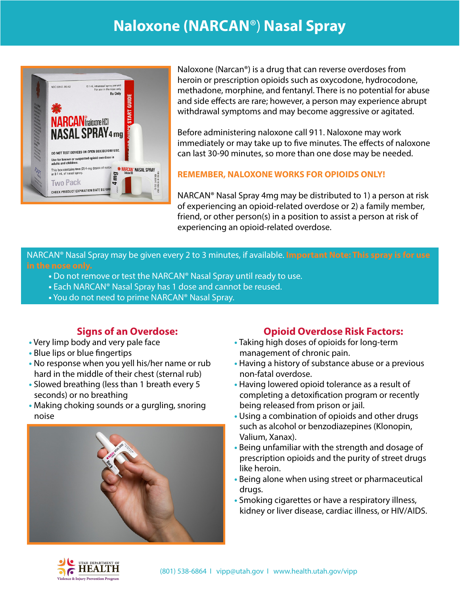## **Naloxone (NARCAN**®) **Nasal Spray**



Naloxone (Narcan®) is a drug that can reverse overdoses from heroin or prescription opioids such as oxycodone, hydrocodone, methadone, morphine, and fentanyl. There is no potential for abuse and side effects are rare; however, a person may experience abrupt withdrawal symptoms and may become aggressive or agitated.

Before administering naloxone call 911. Naloxone may work immediately or may take up to five minutes. The effects of naloxone can last 30-90 minutes, so more than one dose may be needed.

#### **REMEMBER, NALOXONE WORKS FOR OPIOIDS ONLY!**

NARCAN® Nasal Spray 4mg may be distributed to 1) a person at risk of experiencing an opioid-related overdose or 2) a family member, friend, or other person(s) in a position to assist a person at risk of experiencing an opioid-related overdose.

NARCAN® Nasal Spray may be given every 2 to 3 minutes, if available. **Important Note: This spray is for use** 

- **•** Do not remove or test the NARCAN® Nasal Spray until ready to use.
- **•** Each NARCAN® Nasal Spray has 1 dose and cannot be reused.
- **•** You do not need to prime NARCAN® Nasal Spray.

# **Signs of an Overdose:**<br>• Very limp body and very pale face

- 
- **•** Blue lips or blue fingertips
- **•** No response when you yell his/her name or rub hard in the middle of their chest (sternal rub)
- **•** Slowed breathing (less than 1 breath every 5 seconds) or no breathing
- **•** Making choking sounds or a gurgling, snoring noise



## **Opioid Overdose Risk Factors:**

- Taking high doses of opioids for long-term management of chronic pain.
- Having a history of substance abuse or a previous non-fatal overdose.
- Having lowered opioid tolerance as a result of completing a detoxification program or recently being released from prison or jail.
- Using a combination of opioids and other drugs such as alcohol or benzodiazepines (Klonopin, Valium, Xanax).
- Being unfamiliar with the strength and dosage of prescription opioids and the purity of street drugs like heroin.
- Being alone when using street or pharmaceutical drugs.
- Smoking cigarettes or have a respiratory illness, kidney or liver disease, cardiac illness, or HIV/AIDS.